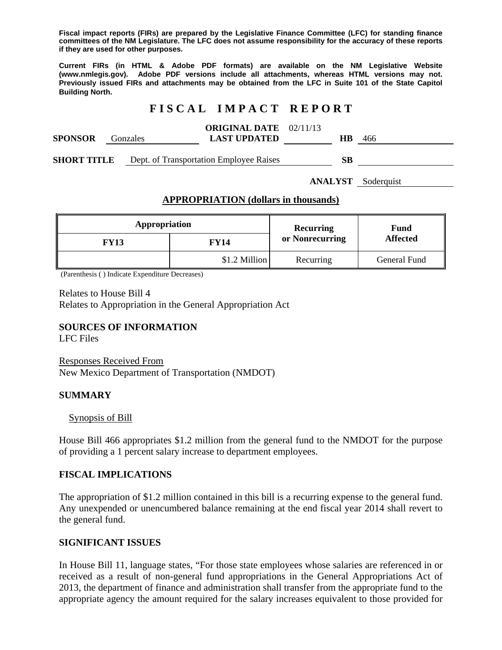**Fiscal impact reports (FIRs) are prepared by the Legislative Finance Committee (LFC) for standing finance committees of the NM Legislature. The LFC does not assume responsibility for the accuracy of these reports if they are used for other purposes.** 

**Current FIRs (in HTML & Adobe PDF formats) are available on the NM Legislative Website (www.nmlegis.gov). Adobe PDF versions include all attachments, whereas HTML versions may not. Previously issued FIRs and attachments may be obtained from the LFC in Suite 101 of the State Capitol Building North.**

# **F I S C A L I M P A C T R E P O R T**

| <b>SPONSOR</b>     | Gonzales |  | <b>ORIGINAL DATE</b> 02/11/13<br><b>LAST UPDATED</b> | НB | 466 |
|--------------------|----------|--|------------------------------------------------------|----|-----|
| <b>SHORT TITLE</b> |          |  | Dept. of Transportation Employee Raises              | SВ |     |

**ANALYST** Soderquist

#### **APPROPRIATION (dollars in thousands)**

| Appropriation |               | <b>Recurring</b> | Fund<br><b>Affected</b> |  |
|---------------|---------------|------------------|-------------------------|--|
| <b>FY13</b>   | FY14          | or Nonrecurring  |                         |  |
|               | \$1.2 Million |                  | General Fund            |  |

(Parenthesis ( ) Indicate Expenditure Decreases)

Relates to House Bill 4 Relates to Appropriation in the General Appropriation Act

### **SOURCES OF INFORMATION**

LFC Files

Responses Received From New Mexico Department of Transportation (NMDOT)

### **SUMMARY**

Synopsis of Bill

House Bill 466 appropriates \$1.2 million from the general fund to the NMDOT for the purpose of providing a 1 percent salary increase to department employees.

### **FISCAL IMPLICATIONS**

The appropriation of \$1.2 million contained in this bill is a recurring expense to the general fund. Any unexpended or unencumbered balance remaining at the end fiscal year 2014 shall revert to the general fund.

### **SIGNIFICANT ISSUES**

In House Bill 11, language states, "For those state employees whose salaries are referenced in or received as a result of non-general fund appropriations in the General Appropriations Act of 2013, the department of finance and administration shall transfer from the appropriate fund to the appropriate agency the amount required for the salary increases equivalent to those provided for